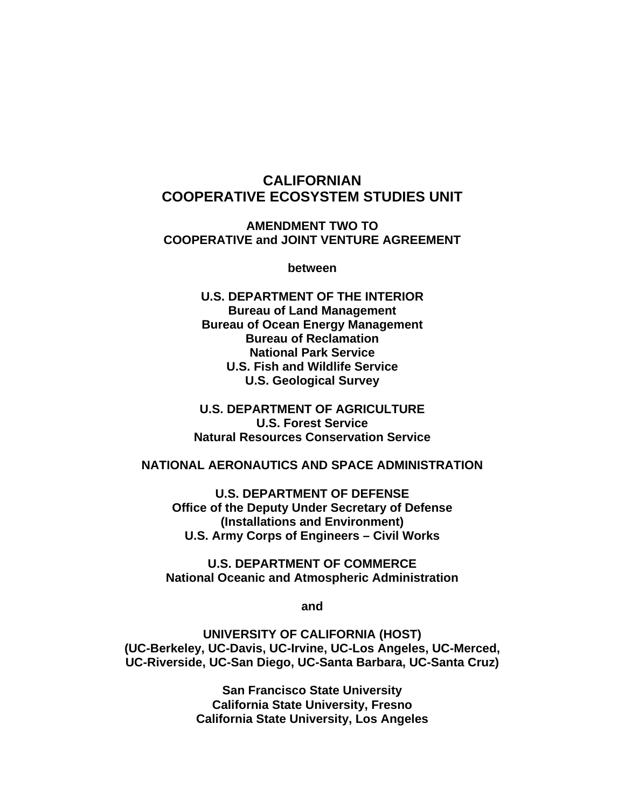# **CALIFORNIAN COOPERATIVE ECOSYSTEM STUDIES UNIT**

**AMENDMENT TWO TO COOPERATIVE and JOINT VENTURE AGREEMENT** 

**between** 

**U.S. DEPARTMENT OF THE INTERIOR Bureau of Land Management Bureau of Ocean Energy Management Bureau of Reclamation National Park Service U.S. Fish and Wildlife Service U.S. Geological Survey** 

**U.S. DEPARTMENT OF AGRICULTURE U.S. Forest Service Natural Resources Conservation Service** 

#### **NATIONAL AERONAUTICS AND SPACE ADMINISTRATION**

**U.S. DEPARTMENT OF DEFENSE Office of the Deputy Under Secretary of Defense (Installations and Environment) U.S. Army Corps of Engineers – Civil Works** 

**U.S. DEPARTMENT OF COMMERCE National Oceanic and Atmospheric Administration** 

**and** 

**UNIVERSITY OF CALIFORNIA (HOST) (UC-Berkeley, UC-Davis, UC-Irvine, UC-Los Angeles, UC-Merced, UC-Riverside, UC-San Diego, UC-Santa Barbara, UC-Santa Cruz)** 

> **San Francisco State University California State University, Fresno California State University, Los Angeles**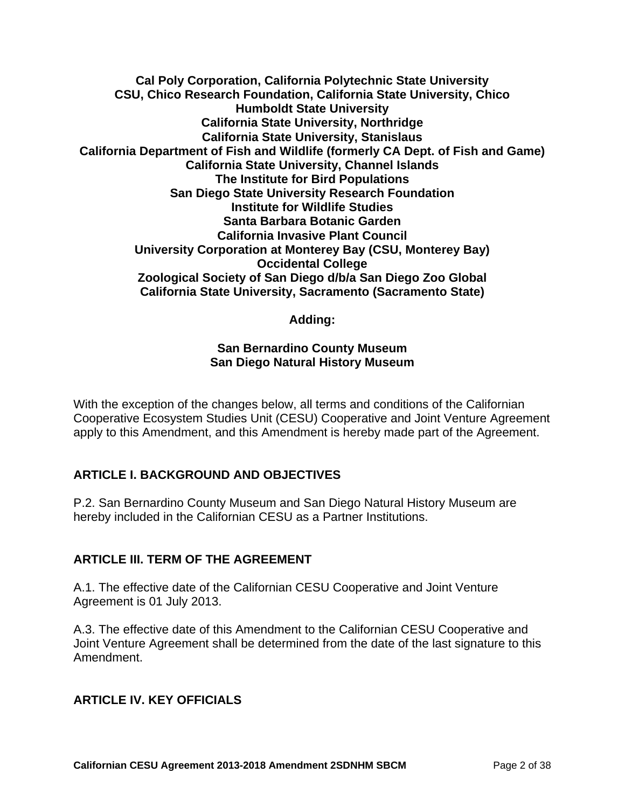**Cal Poly Corporation, California Polytechnic State University CSU, Chico Research Foundation, California State University, Chico Humboldt State University California State University, Northridge California State University, Stanislaus California Department of Fish and Wildlife (formerly CA Dept. of Fish and Game) California State University, Channel Islands The Institute for Bird Populations San Diego State University Research Foundation Institute for Wildlife Studies Santa Barbara Botanic Garden California Invasive Plant Council University Corporation at Monterey Bay (CSU, Monterey Bay) Occidental College Zoological Society of San Diego d/b/a San Diego Zoo Global California State University, Sacramento (Sacramento State)** 

#### **Adding:**

#### **San Bernardino County Museum San Diego Natural History Museum**

With the exception of the changes below, all terms and conditions of the Californian Cooperative Ecosystem Studies Unit (CESU) Cooperative and Joint Venture Agreement apply to this Amendment, and this Amendment is hereby made part of the Agreement.

#### **ARTICLE I. BACKGROUND AND OBJECTIVES**

P.2. San Bernardino County Museum and San Diego Natural History Museum are hereby included in the Californian CESU as a Partner Institutions.

#### **ARTICLE III. TERM OF THE AGREEMENT**

A.1. The effective date of the Californian CESU Cooperative and Joint Venture Agreement is 01 July 2013.

A.3. The effective date of this Amendment to the Californian CESU Cooperative and Joint Venture Agreement shall be determined from the date of the last signature to this Amendment.

#### **ARTICLE IV. KEY OFFICIALS**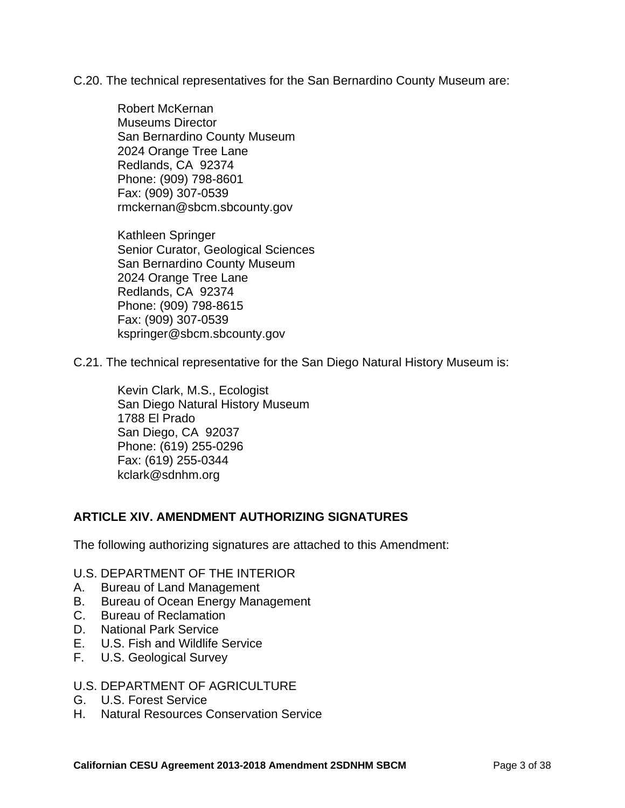C.20. The technical representatives for the San Bernardino County Museum are:

Robert McKernan Museums Director San Bernardino County Museum 2024 Orange Tree Lane Redlands, CA 92374 Phone: (909) 798-8601 Fax: (909) 307-0539 rmckernan@sbcm.sbcounty.gov

Kathleen Springer Senior Curator, Geological Sciences San Bernardino County Museum 2024 Orange Tree Lane Redlands, CA 92374 Phone: (909) 798-8615 Fax: (909) 307-0539 kspringer@sbcm.sbcounty.gov

C.21. The technical representative for the San Diego Natural History Museum is:

Kevin Clark, M.S., Ecologist San Diego Natural History Museum 1788 El Prado San Diego, CA 92037 Phone: (619) 255-0296 Fax: (619) 255-0344 kclark@sdnhm.org

#### **ARTICLE XIV. AMENDMENT AUTHORIZING SIGNATURES**

The following authorizing signatures are attached to this Amendment:

#### U.S. DEPARTMENT OF THE INTERIOR

- A. Bureau of Land Management
- B. Bureau of Ocean Energy Management
- C. Bureau of Reclamation
- D. National Park Service
- E. U.S. Fish and Wildlife Service
- F. U.S. Geological Survey

#### U.S. DEPARTMENT OF AGRICULTURE

- G. U.S. Forest Service
- H. Natural Resources Conservation Service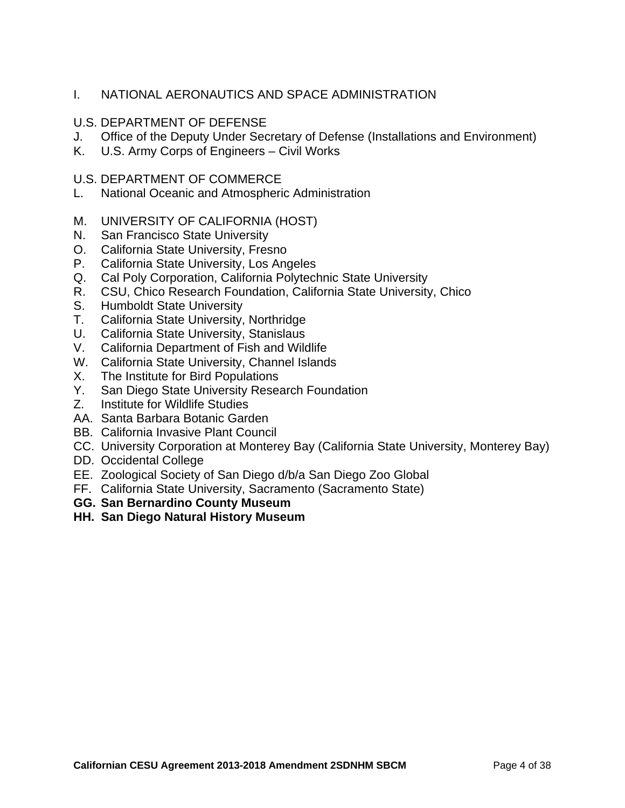#### I. NATIONAL AERONAUTICS AND SPACE ADMINISTRATION

#### U.S. DEPARTMENT OF DEFENSE

- J. Office of the Deputy Under Secretary of Defense (Installations and Environment)
- K. U.S. Army Corps of Engineers Civil Works

#### U.S. DEPARTMENT OF COMMERCE

- L. National Oceanic and Atmospheric Administration
- M. UNIVERSITY OF CALIFORNIA (HOST)
- N. San Francisco State University
- O. California State University, Fresno
- P. California State University, Los Angeles
- Q. Cal Poly Corporation, California Polytechnic State University
- R. CSU, Chico Research Foundation, California State University, Chico
- S. Humboldt State University
- T. California State University, Northridge
- U. California State University, Stanislaus
- V. California Department of Fish and Wildlife
- W. California State University, Channel Islands
- X. The Institute for Bird Populations
- Y. San Diego State University Research Foundation
- Z. Institute for Wildlife Studies
- AA. Santa Barbara Botanic Garden
- BB. California Invasive Plant Council
- CC. University Corporation at Monterey Bay (California State University, Monterey Bay)
- DD. Occidental College
- EE. Zoological Society of San Diego d/b/a San Diego Zoo Global
- FF. California State University, Sacramento (Sacramento State)
- **GG. San Bernardino County Museum**
- **HH. San Diego Natural History Museum**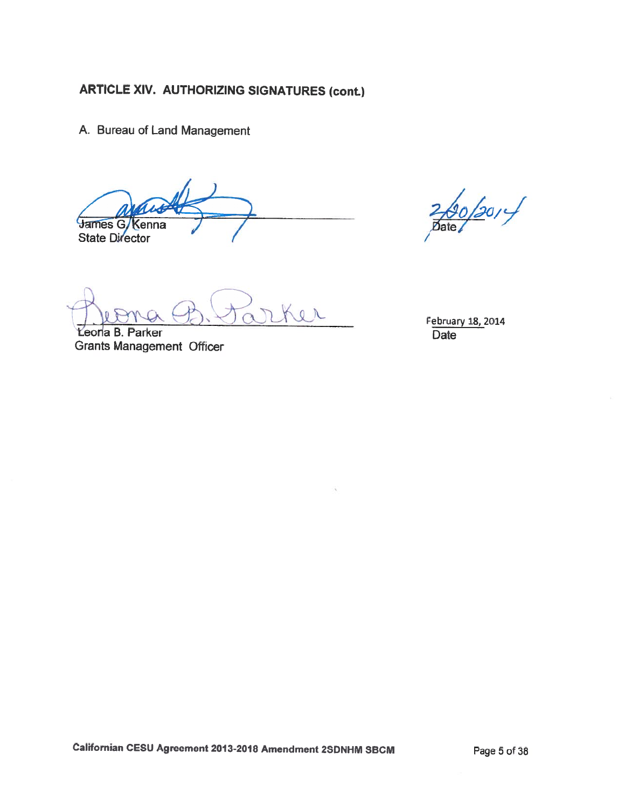A. Bureau of Land Management

James G Kenna **State Director** 

Ker

Leoria B. Parker **Grants Management Officer** 

 $\frac{260}{201}/$ 

February 18, 2014 Date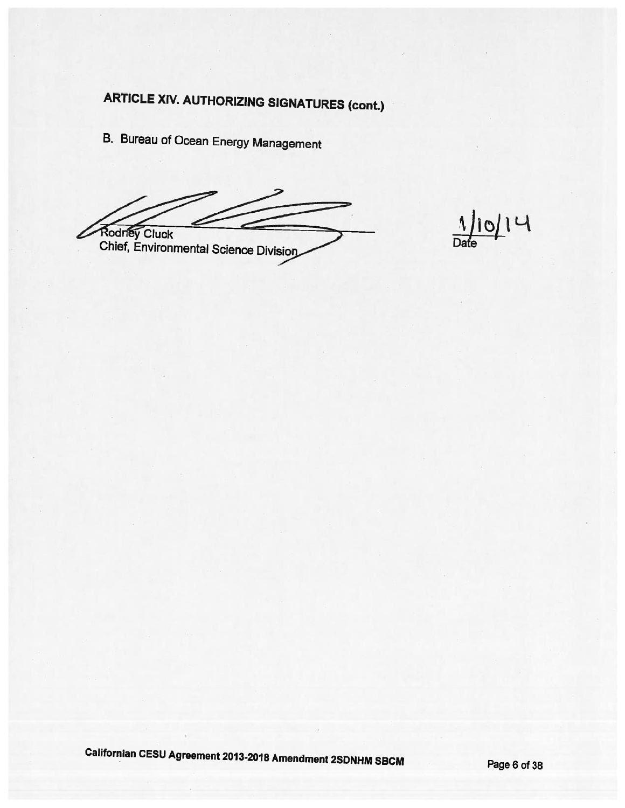**B. Bureau of Ocean Energy Management** 

Rodney Cluck Chief, Environmental Science Division

 $\frac{1}{\text{Date}}$ 

Californian CESU Agreement 2013-2018 Amendment 2SDNHM SBCM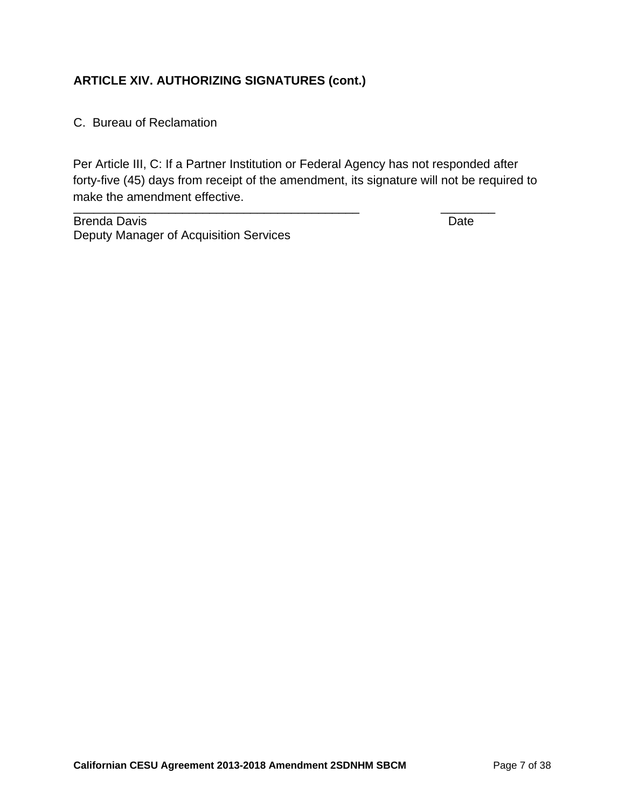C. Bureau of Reclamation

\_\_\_\_\_\_\_\_\_\_\_\_\_\_\_\_\_\_\_\_\_\_\_\_\_\_\_\_\_\_\_\_\_\_\_\_\_\_\_\_\_\_ \_\_\_\_\_\_\_\_ Per Article III, C: If a Partner Institution or Federal Agency has not responded after forty-five (45) days from receipt of the amendment, its signature will not be required to make the amendment effective.

Brenda Davis **Date** Deputy Manager of Acquisition Services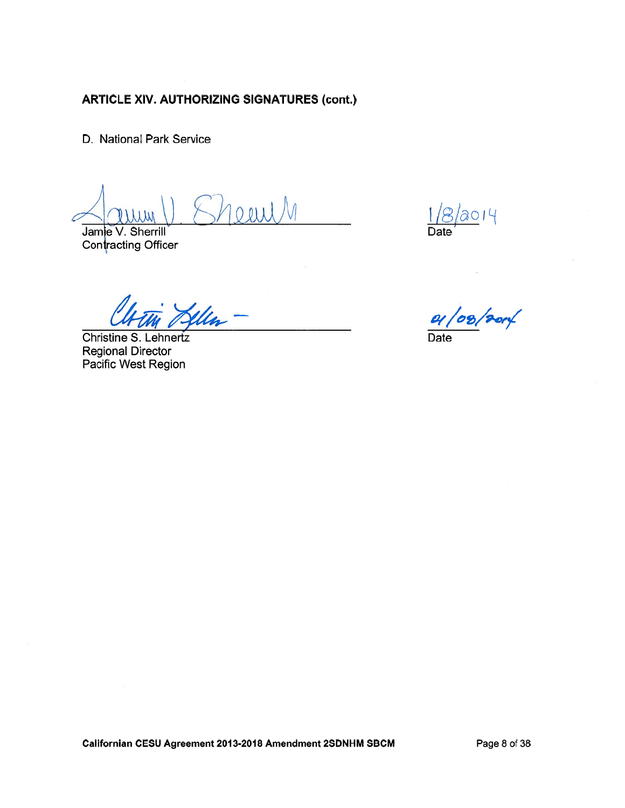D. National Park Service

Jamie V. Sherrill Contracting Officer

 $8/0014$ 

Christine S. Lehnertz **Regional Director** Pacific West Region

01/08/2014 **Date**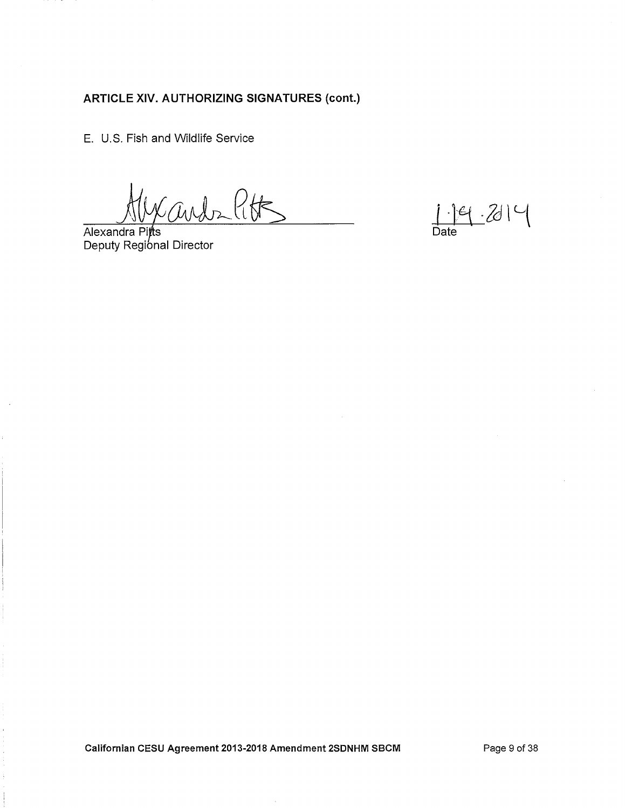E. U.S. Fish and Wildlife Service

Carde Pitts

Alexandra Pitts Deputy Regional Director

 $1.19 - 2014$  $\overline{Date}$ 

Californian CESU Agreement 2013-2018 Amendment 2SDNHM SBCM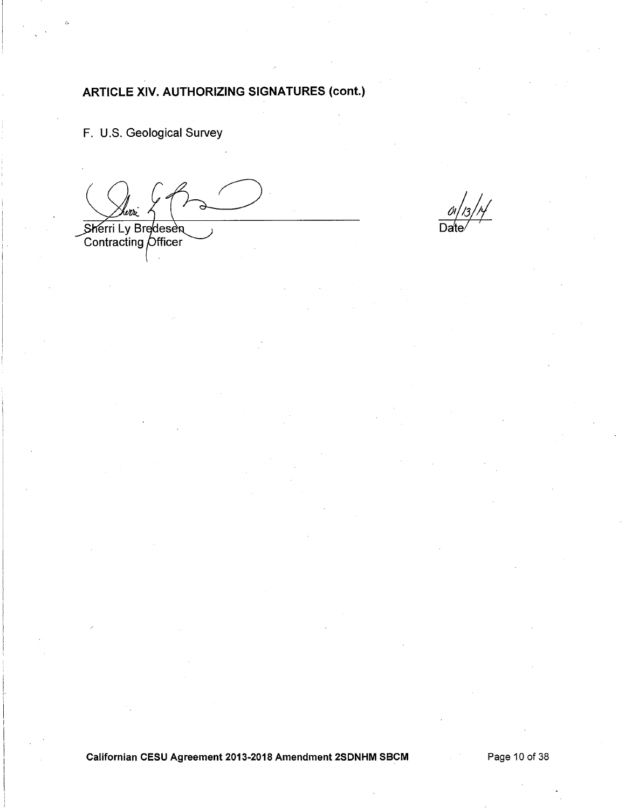F. U.S. Geological Survey

Sherri Ly Bredesen

 $\frac{1}{3}$ / $\frac{1}{2}$ 

Californian CESU Agreement 2013-2018 Amendment 2SDNHM SBCM

Page 10 of 38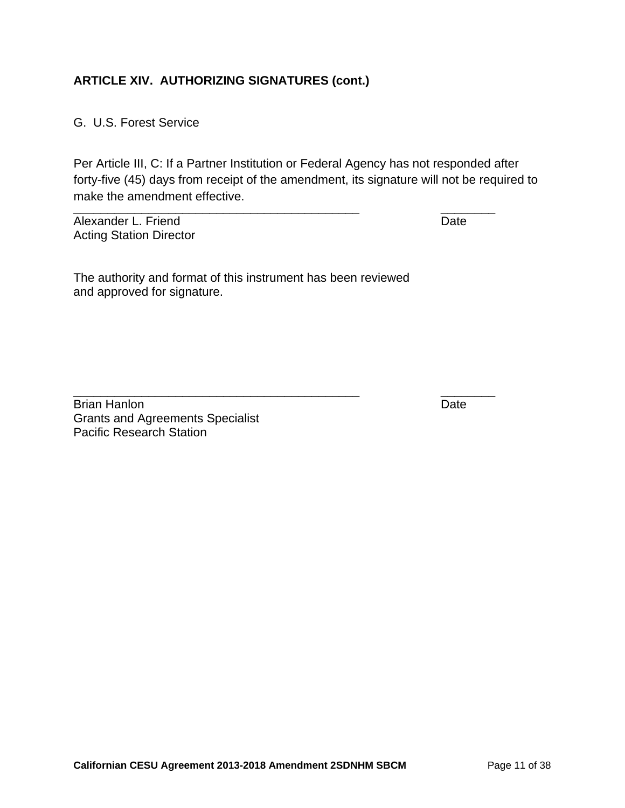G. U.S. Forest Service

\_\_\_\_\_\_\_\_\_\_\_\_\_\_\_\_\_\_\_\_\_\_\_\_\_\_\_\_\_\_\_\_\_\_\_\_\_\_\_\_\_\_ \_\_\_\_\_\_\_\_ Per Article III, C: If a Partner Institution or Federal Agency has not responded after forty-five (45) days from receipt of the amendment, its signature will not be required to make the amendment effective.

Alexander L. Friend **Date** Acting Station Director

The authority and format of this instrument has been reviewed and approved for signature.

\_\_\_\_\_\_\_\_\_\_\_\_\_\_\_\_\_\_\_\_\_\_\_\_\_\_\_\_\_\_\_\_\_\_\_\_\_\_\_\_\_\_ \_\_\_\_\_\_\_\_

Brian Hanlon Date Date Date Date Date Grants and Agreements Specialist Pacific Research Station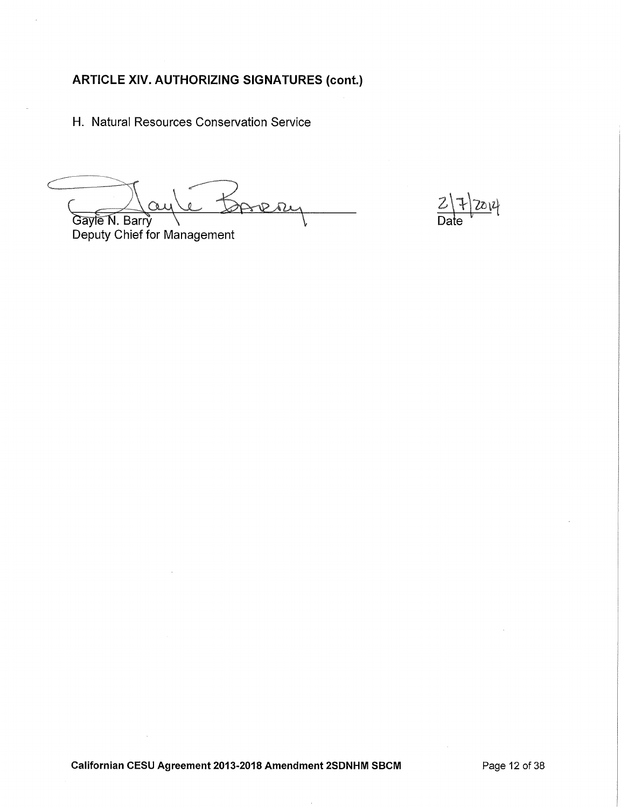H. Natural Resources Conservation Service

Gayle N. Barry

 $\frac{2|7|2014}{\text{Date}}$ 

Deputy Chief for Management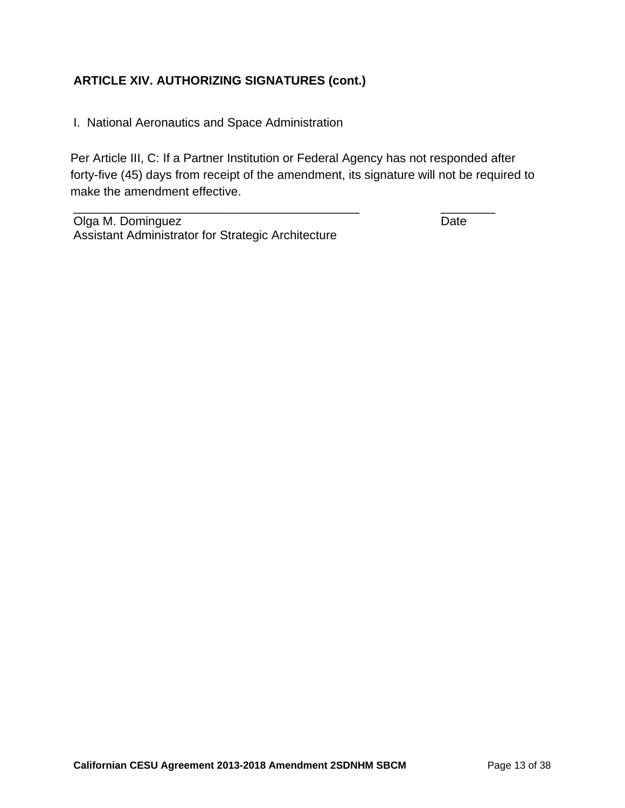I. National Aeronautics and Space Administration

Per Article III, C: If a Partner Institution or Federal Agency has not responded after forty-five (45) days from receipt of the amendment, its signature will not be required to make the amendment effective.

\_\_\_\_\_\_\_\_\_\_\_\_\_\_\_\_\_\_\_\_\_\_\_\_\_\_\_\_\_\_\_\_\_\_\_\_\_\_\_\_\_\_ \_\_\_\_\_\_\_\_

Olga M. Dominguez **Date** Assistant Administrator for Strategic Architecture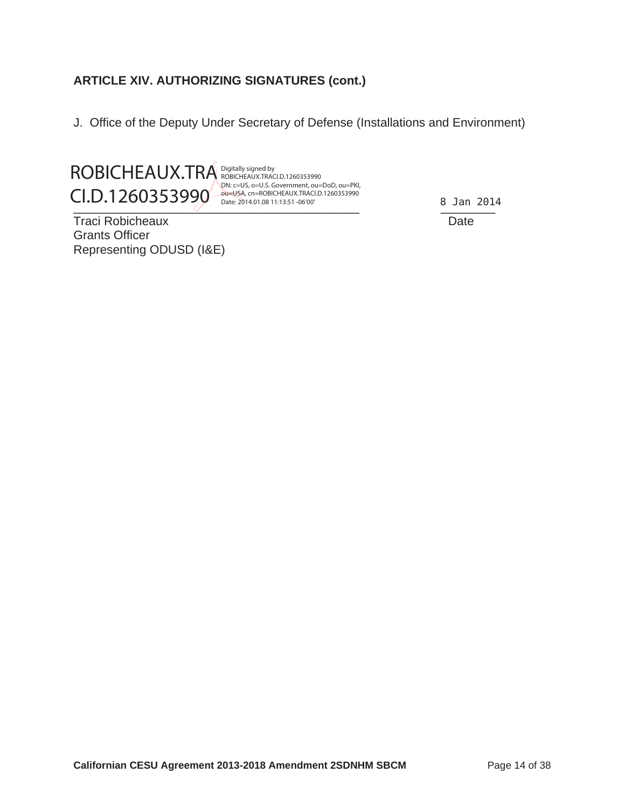J. Office of the Deputy Under Secretary of Defense (Installations and Environment)



Digitally signed by ROBICHEAUX.TRACI.D.1260353990 DN: c=US, o=U.S. Government, ou=DoD, ou=PKI, ou=USA, cn=ROBICHEAUX.TRACI.D.1260353990 Date: 2014.01.08 11:13:51 -06'00'

Traci Robicheaux Date Grants Officer Representing ODUSD (I&E)

8 Jan 2014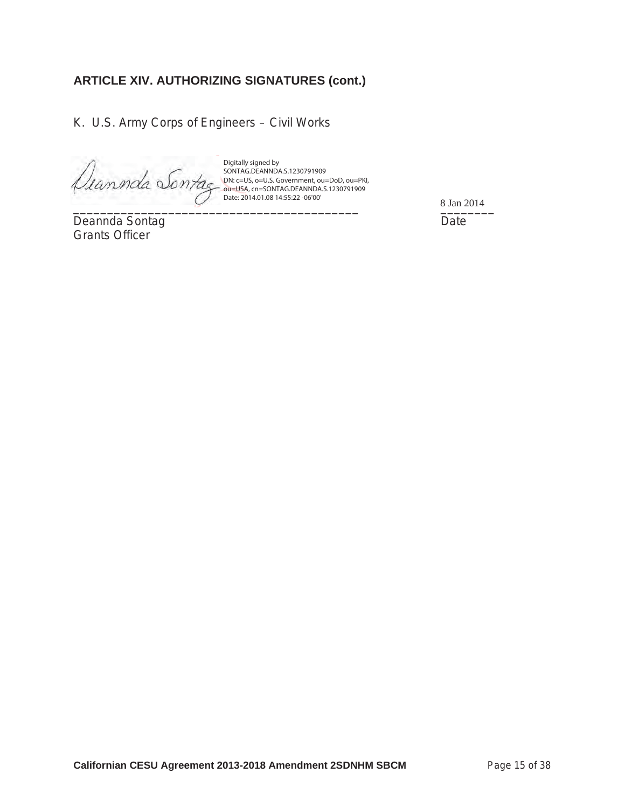K. U.S. Army Corps of Engineers – Civil Works

Deannda Sontag

Digitally signed by SONTAG.DEANNDA.S.1230791909 DN: c=US, o=U.S. Government, ou=DoD, ou=PKI, ou=USA, cn=SONTAG.DEANNDA.S.1230791909 Date: 2014.01.08 14:55:22 -06'00'

Deannda Sontag **Date** Grants Officer

 $8 \text{ Jan } 2014$ 8 Jan 2014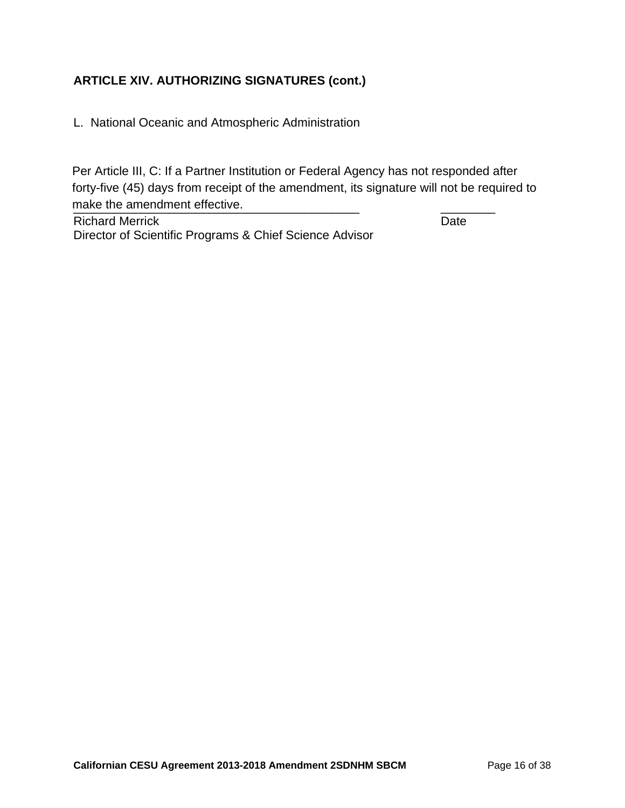L. National Oceanic and Atmospheric Administration

\_\_\_\_\_\_\_\_\_\_\_\_\_\_\_\_\_\_\_\_\_\_\_\_\_\_\_\_\_\_\_\_\_\_\_\_\_\_\_\_\_\_ \_\_\_\_\_\_\_\_ make the amendment effective.Per Article III, C: If a Partner Institution or Federal Agency has not responded after forty-five (45) days from receipt of the amendment, its signature will not be required to

Richard Merrick **Date** Director of Scientific Programs & Chief Science Advisor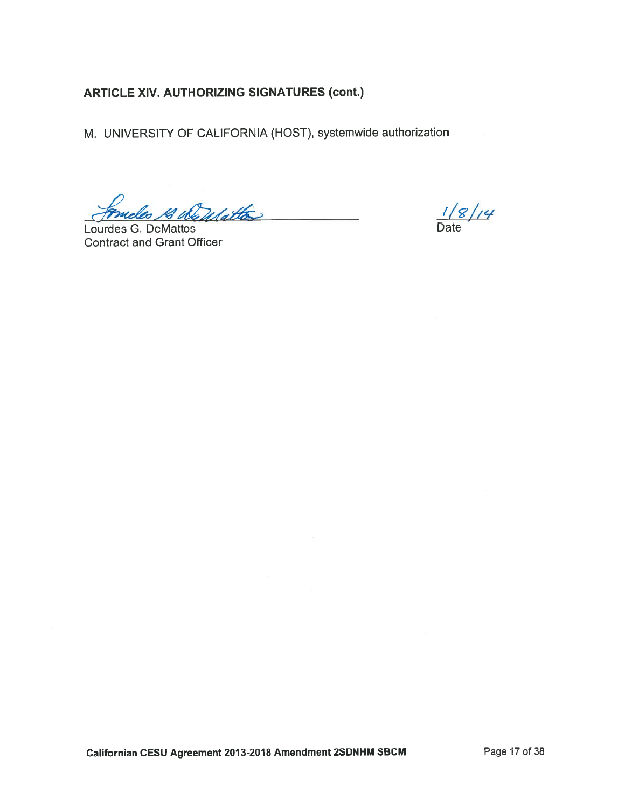M. UNIVERSITY OF CALIFORNIA (HOST), systemwide authorization

meles 14 Wellattes

Lourdes G. DeMattos **Contract and Grant Officer** 

 $\frac{1/8}{4}$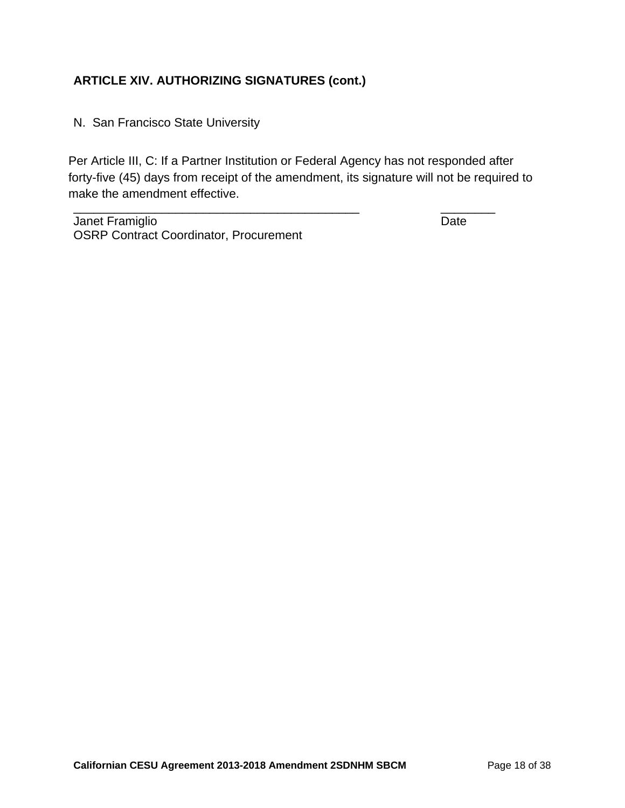N. San Francisco State University

Per Article III, C: If a Partner Institution or Federal Agency has not responded after forty-five (45) days from receipt of the amendment, its signature will not be required to make the amendment effective.

\_\_\_\_\_\_\_\_\_\_\_\_\_\_\_\_\_\_\_\_\_\_\_\_\_\_\_\_\_\_\_\_\_\_\_\_\_\_\_\_\_\_ \_\_\_\_\_\_\_\_

Janet Framiglio **Date** OSRP Contract Coordinator, Procurement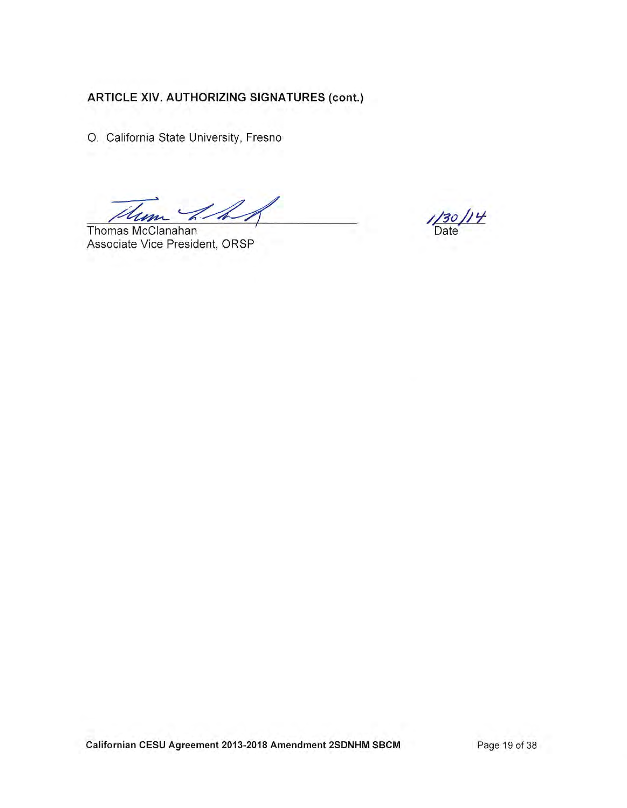O. California State University, Fresno

 $\mathcal{L}$ 

Thomas McClanahan Associate Vice President, ORSP

 $^{\prime\prime}$ Date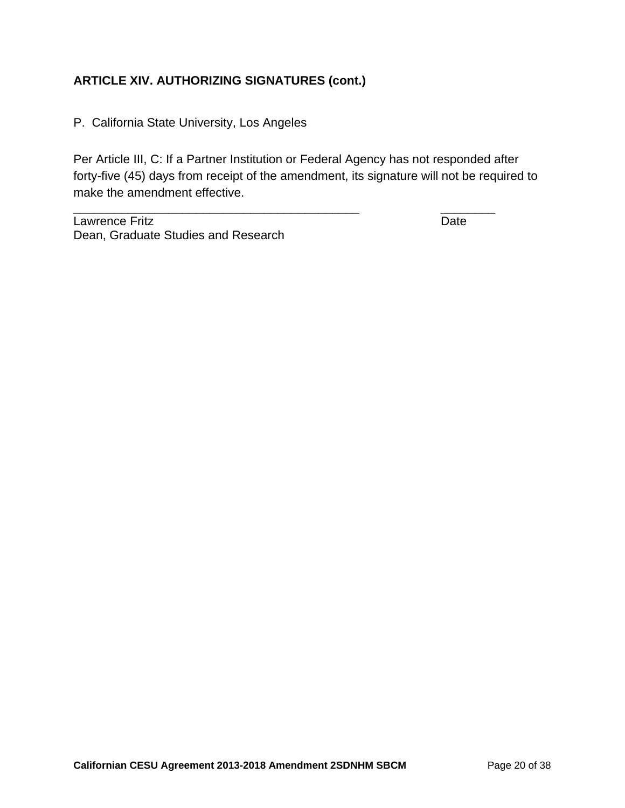P. California State University, Los Angeles

Per Article III, C: If a Partner Institution or Federal Agency has not responded after forty-five (45) days from receipt of the amendment, its signature will not be required to make the amendment effective.

\_\_\_\_\_\_\_\_\_\_\_\_\_\_\_\_\_\_\_\_\_\_\_\_\_\_\_\_\_\_\_\_\_\_\_\_\_\_\_\_\_\_ \_\_\_\_\_\_\_\_

Lawrence Fritz Date Dean, Graduate Studies and Research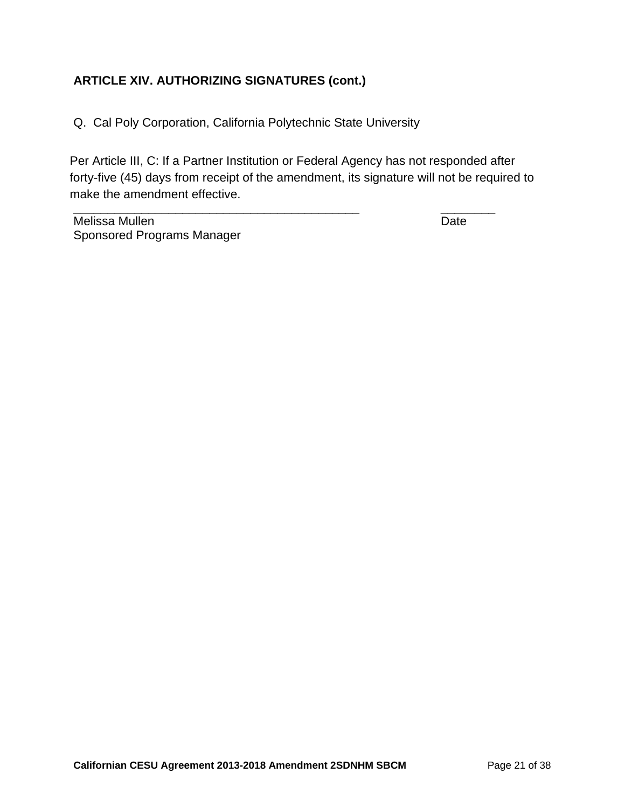Q. Cal Poly Corporation, California Polytechnic State University

Per Article III, C: If a Partner Institution or Federal Agency has not responded after forty-five (45) days from receipt of the amendment, its signature will not be required to make the amendment effective.

\_\_\_\_\_\_\_\_\_\_\_\_\_\_\_\_\_\_\_\_\_\_\_\_\_\_\_\_\_\_\_\_\_\_\_\_\_\_\_\_\_\_ \_\_\_\_\_\_\_\_

Melissa Mullen **Date** Sponsored Programs Manager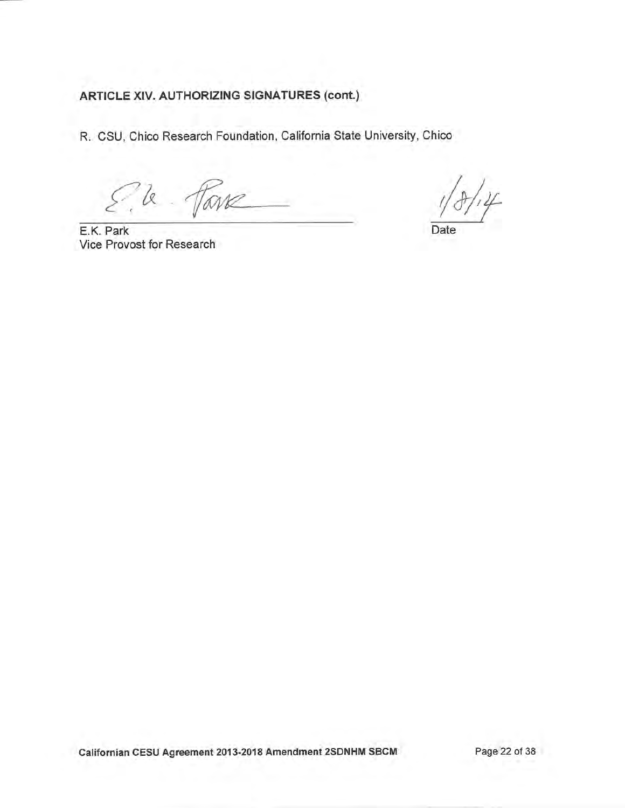R. CSU, Chico Research Foundation, California State University, Chico

 $\alpha$ Torre

E.K. Park Vice Provost for Research

Date

Californian CESU Agreement 2013-2018 Amendment 2SDNHM SBCM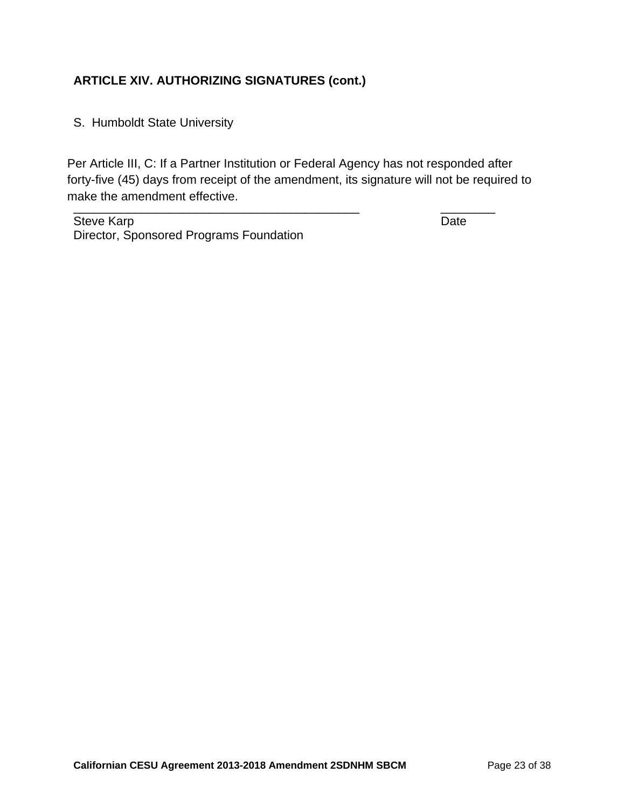S. Humboldt State University

\_\_\_\_\_\_\_\_\_\_\_\_\_\_\_\_\_\_\_\_\_\_\_\_\_\_\_\_\_\_\_\_\_\_\_\_\_\_\_\_\_\_ \_\_\_\_\_\_\_\_ Per Article III, C: If a Partner Institution or Federal Agency has not responded after forty-five (45) days from receipt of the amendment, its signature will not be required to make the amendment effective.

Steve Karp Date Director, Sponsored Programs Foundation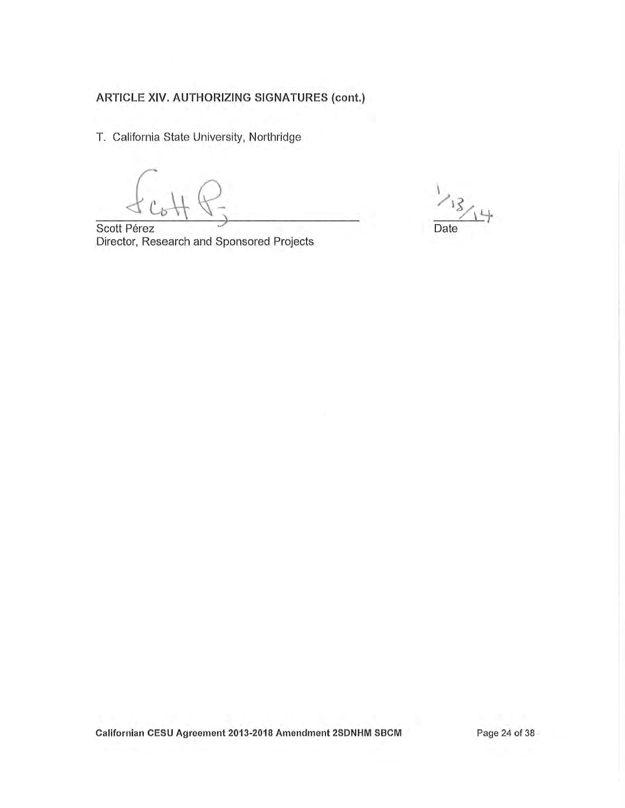T. California State University, Northridge

Scott Pérez Director, Research and Sponsored Projects

 $\sum$ Date

Californian CESU Agreement 2013-2018 Amendment 2SDNHM SBCM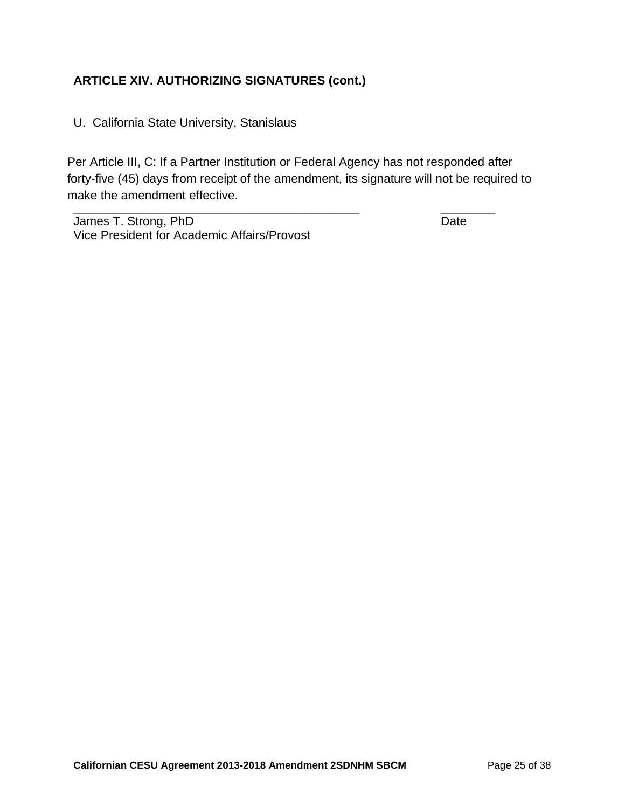U. California State University, Stanislaus

\_\_\_\_\_\_\_\_\_\_\_\_\_\_\_\_\_\_\_\_\_\_\_\_\_\_\_\_\_\_\_\_\_\_\_\_\_\_\_\_\_\_ \_\_\_\_\_\_\_\_ Per Article III, C: If a Partner Institution or Federal Agency has not responded after forty-five (45) days from receipt of the amendment, its signature will not be required to make the amendment effective.

James T. Strong, PhD Date Vice President for Academic Affairs/Provost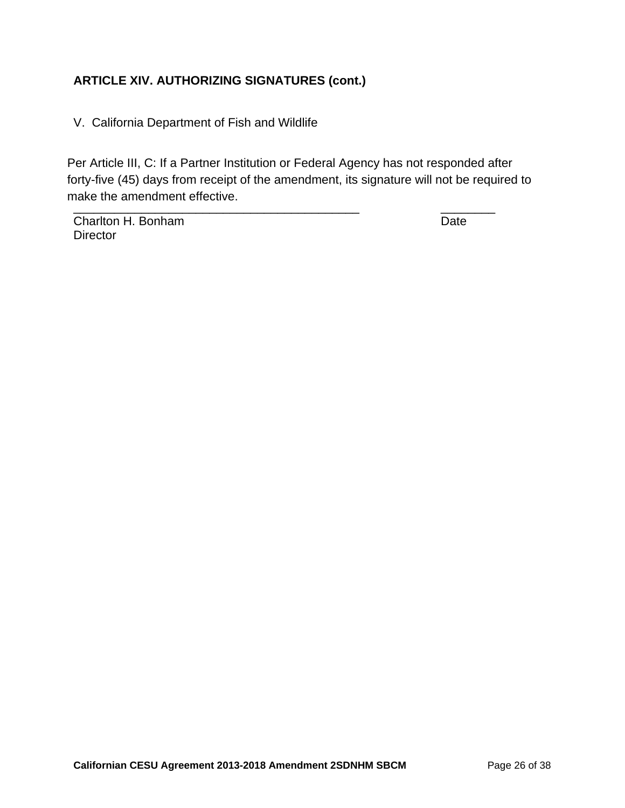V. California Department of Fish and Wildlife

\_\_\_\_\_\_\_\_\_\_\_\_\_\_\_\_\_\_\_\_\_\_\_\_\_\_\_\_\_\_\_\_\_\_\_\_\_\_\_\_\_\_ \_\_\_\_\_\_\_\_ Per Article III, C: If a Partner Institution or Federal Agency has not responded after forty-five (45) days from receipt of the amendment, its signature will not be required to make the amendment effective.

Charlton H. Bonham Date **Director**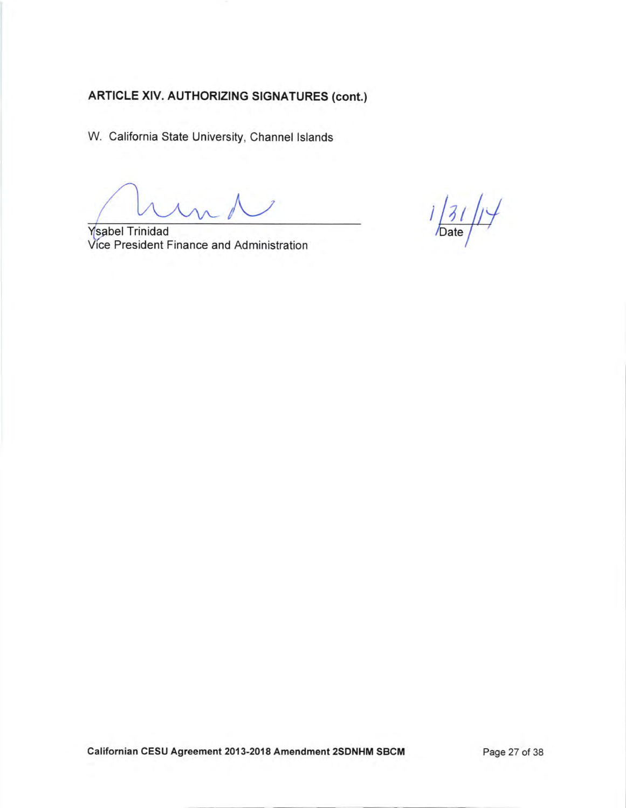W. California State University, Channel lslands

**Y**sabel Trinidad Vice President Finance and Administration

 $1/31/1/$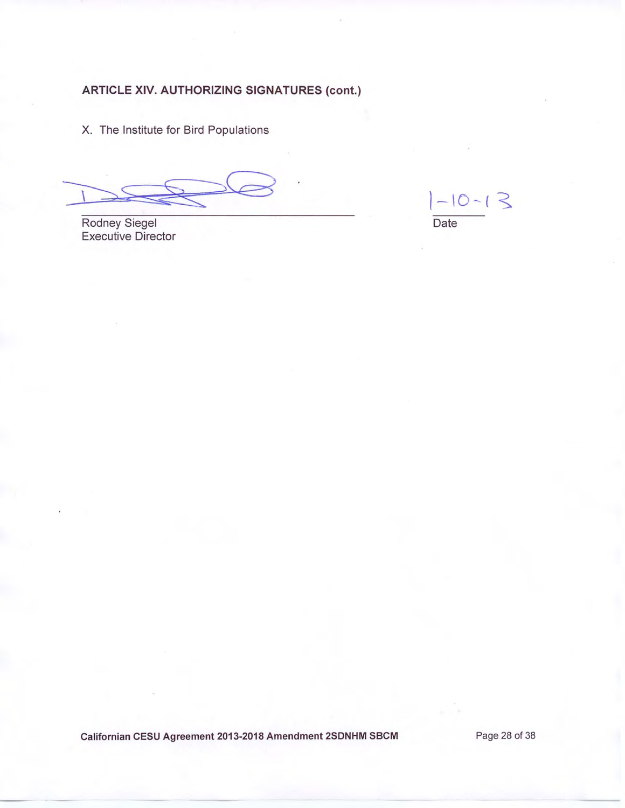X. The Institute for Bird Populations

Rodney Siegel **Executive Director** 

 $-10-13$ Date

Californian CESU Agreement 2013-2018 Amendment 2SDNHM SBCM

Page 28 of 38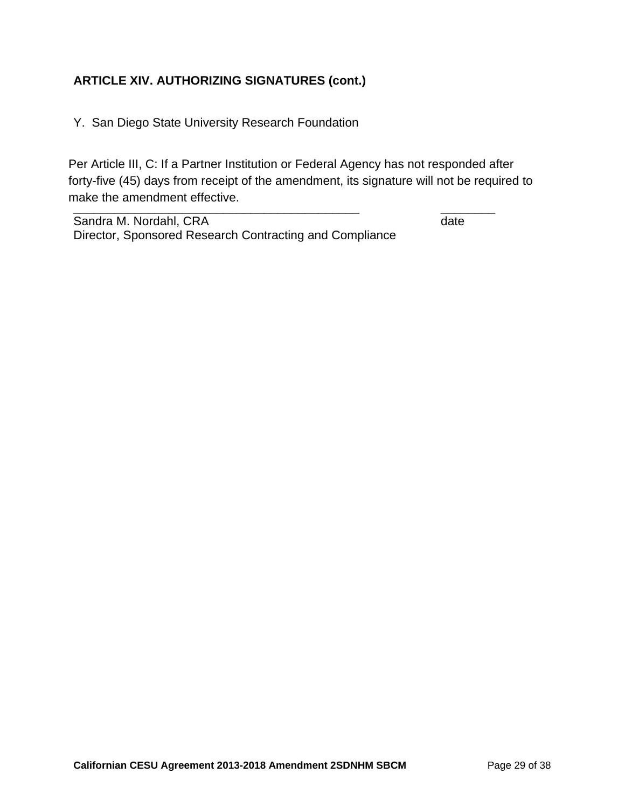Y. San Diego State University Research Foundation

\_\_\_\_\_\_\_\_\_\_\_\_\_\_\_\_\_\_\_\_\_\_\_\_\_\_\_\_\_\_\_\_\_\_\_\_\_\_\_\_\_\_ \_\_\_\_\_\_\_\_ Per Article III, C: If a Partner Institution or Federal Agency has not responded after forty-five (45) days from receipt of the amendment, its signature will not be required to make the amendment effective.

Sandra M. Nordahl, CRA date date date Director, Sponsored Research Contracting and Compliance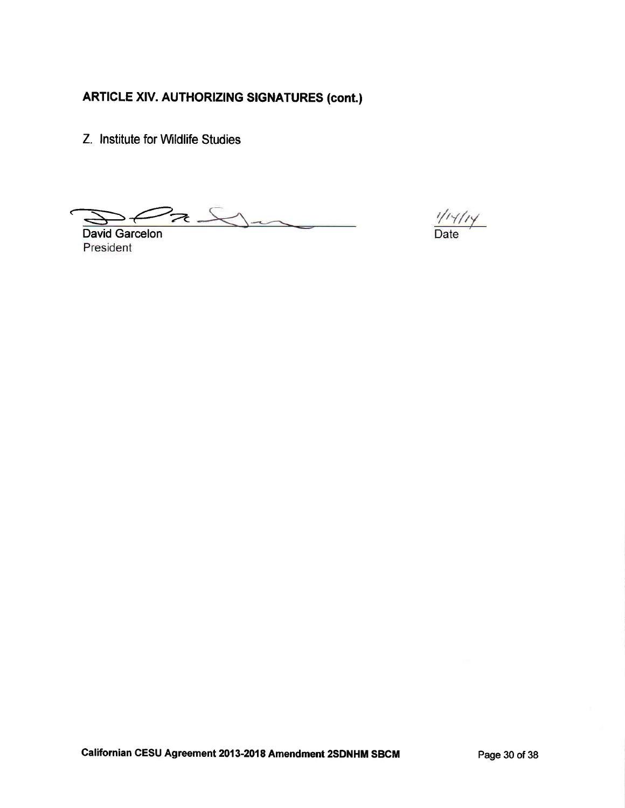Z. Institute for Wildlife Studies

 $22.5$ 

David Garcelon President

 $\frac{1/1 \gamma / 1 \gamma}{\text{Date}}$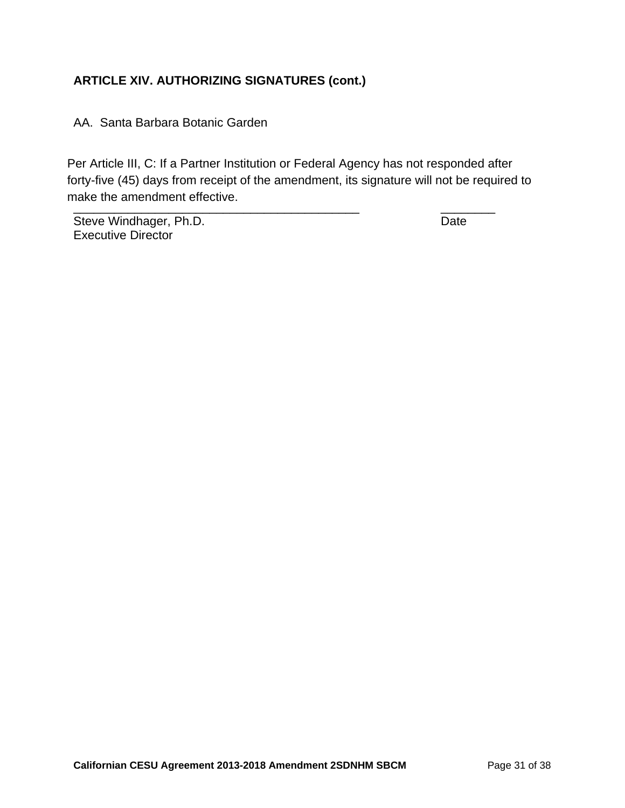AA. Santa Barbara Botanic Garden

\_\_\_\_\_\_\_\_\_\_\_\_\_\_\_\_\_\_\_\_\_\_\_\_\_\_\_\_\_\_\_\_\_\_\_\_\_\_\_\_\_\_ \_\_\_\_\_\_\_\_ Per Article III, C: If a Partner Institution or Federal Agency has not responded after forty-five (45) days from receipt of the amendment, its signature will not be required to make the amendment effective.

Steve Windhager, Ph.D. Date Executive Director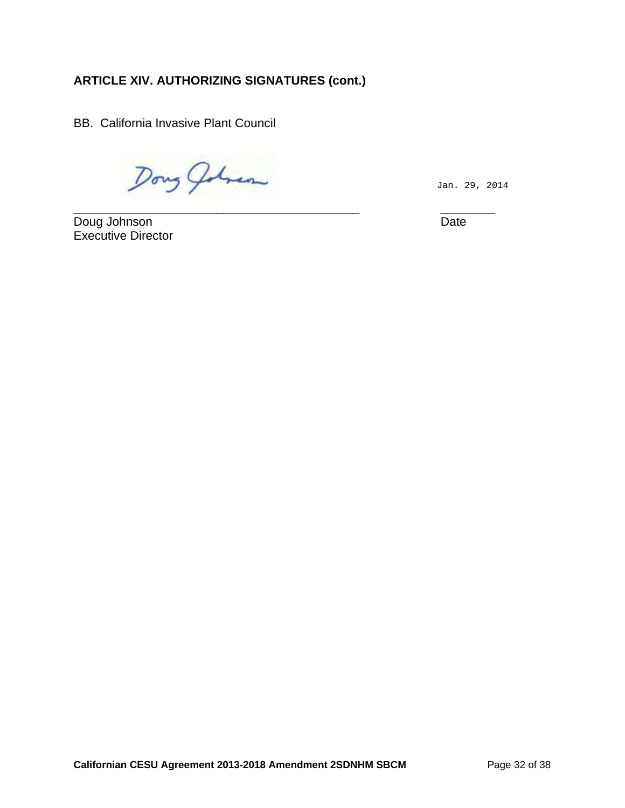BB. California Invasive Plant Council

Dong Johnson

Jan. 29, 2014

\_\_\_\_\_\_\_\_\_\_\_\_\_\_\_\_\_\_\_\_\_\_\_\_\_\_\_\_\_\_\_\_\_\_\_\_\_\_\_\_\_\_ \_\_\_\_\_\_\_\_ Doug Johnson Date Executive Director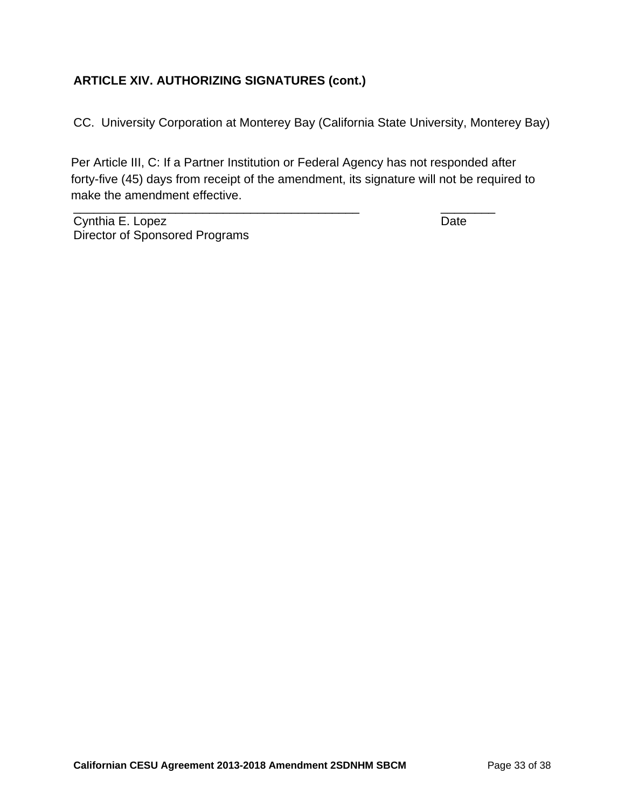CC. University Corporation at Monterey Bay (California State University, Monterey Bay)

Per Article III, C: If a Partner Institution or Federal Agency has not responded after forty-five (45) days from receipt of the amendment, its signature will not be required to make the amendment effective.

\_\_\_\_\_\_\_\_\_\_\_\_\_\_\_\_\_\_\_\_\_\_\_\_\_\_\_\_\_\_\_\_\_\_\_\_\_\_\_\_\_\_ \_\_\_\_\_\_\_\_

Cynthia E. Lopez Date Director of Sponsored Programs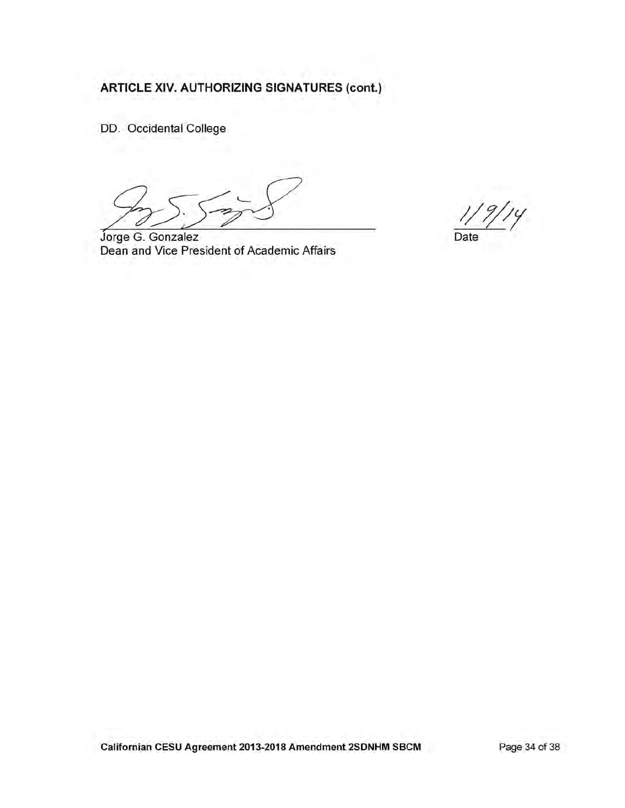DD. Occidental College

Jorge G. Gonzalez Dean and Vice President of Academic Affairs

 $\overline{y}$ Date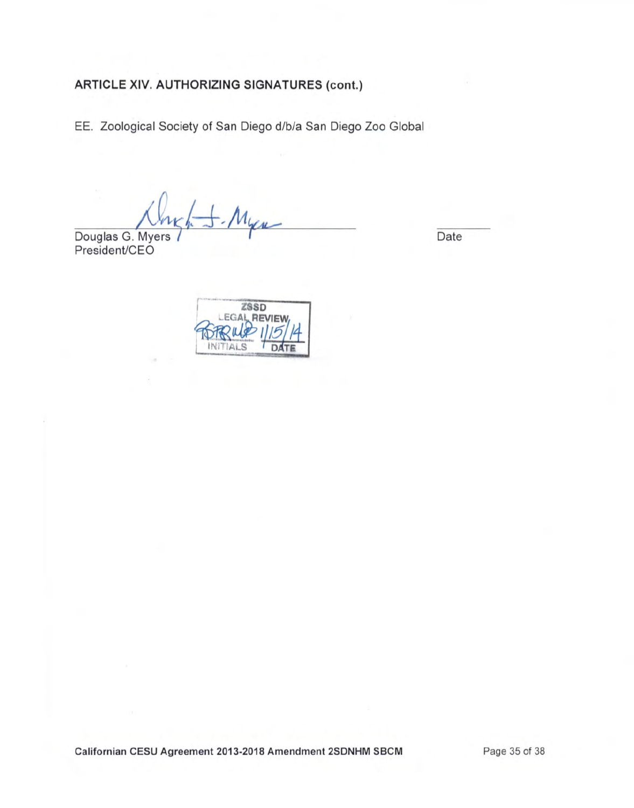EE. Zoological Society of San Diego d/b/a San Diego Zoo Global

Douglas G. Myers 7 Particular Contract Date

President/CEO

**ZSSD EGAL REVIEW** Ai S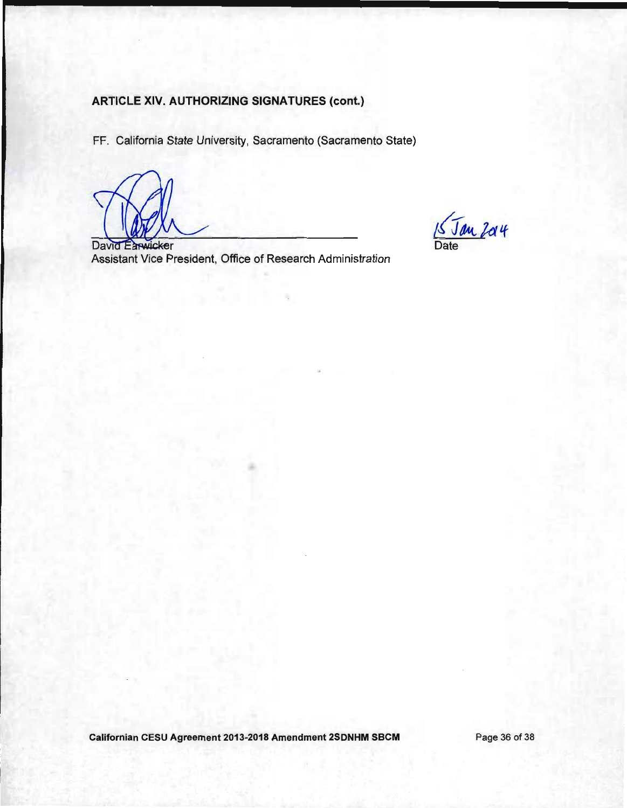FF. California State University, Sacramento (Sacramento State)

15 Jan 204

David Earwicker Assistant Vice President, Office of Research Administration

Californian CESU Agreement 2013-2018 Amendment 2SDNHM SBCM

Page 36 of 38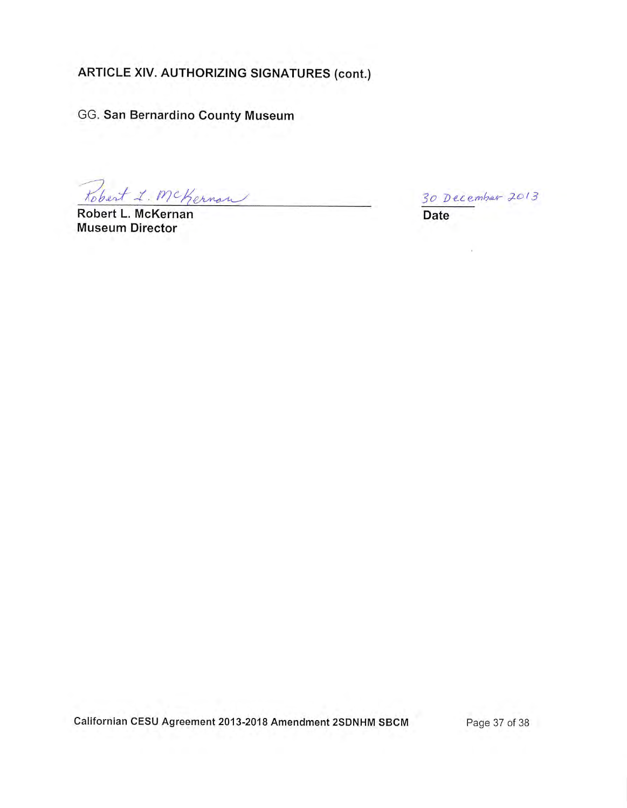GG. San Bernardino County Museum

Robert L. McKernon

Robert L. McKernan **Museum Director** 

30 December 2013

 $\sim$ 

Date